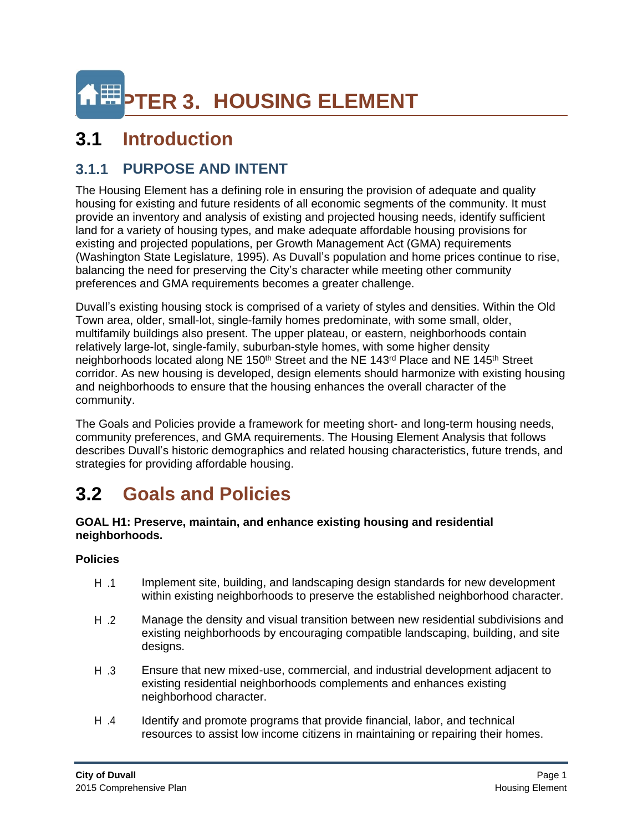

# **3.1 Introduction**

## **3.1.1 PURPOSE AND INTENT**

The Housing Element has a defining role in ensuring the provision of adequate and quality housing for existing and future residents of all economic segments of the community. It must provide an inventory and analysis of existing and projected housing needs, identify sufficient land for a variety of housing types, and make adequate affordable housing provisions for existing and projected populations, per Growth Management Act (GMA) requirements (Washington State Legislature, 1995). As Duvall's population and home prices continue to rise, balancing the need for preserving the City's character while meeting other community preferences and GMA requirements becomes a greater challenge.

Duvall's existing housing stock is comprised of a variety of styles and densities. Within the Old Town area, older, small-lot, single-family homes predominate, with some small, older, multifamily buildings also present. The upper plateau, or eastern, neighborhoods contain relatively large-lot, single-family, suburban-style homes, with some higher density neighborhoods located along NE 150<sup>th</sup> Street and the NE 143<sup>rd</sup> Place and NE 145<sup>th</sup> Street corridor. As new housing is developed, design elements should harmonize with existing housing and neighborhoods to ensure that the housing enhances the overall character of the community.

The Goals and Policies provide a framework for meeting short- and long-term housing needs, community preferences, and GMA requirements. The Housing Element Analysis that follows describes Duvall's historic demographics and related housing characteristics, future trends, and strategies for providing affordable housing.

# **3.2 Goals and Policies**

#### **GOAL H1: Preserve, maintain, and enhance existing housing and residential neighborhoods.**

- H .1 Implement site, building, and landscaping design standards for new development within existing neighborhoods to preserve the established neighborhood character.
- H .2 Manage the density and visual transition between new residential subdivisions and existing neighborhoods by encouraging compatible landscaping, building, and site designs.
- H .3 Ensure that new mixed-use, commercial, and industrial development adjacent to existing residential neighborhoods complements and enhances existing neighborhood character.
- H .4 Identify and promote programs that provide financial, labor, and technical resources to assist low income citizens in maintaining or repairing their homes.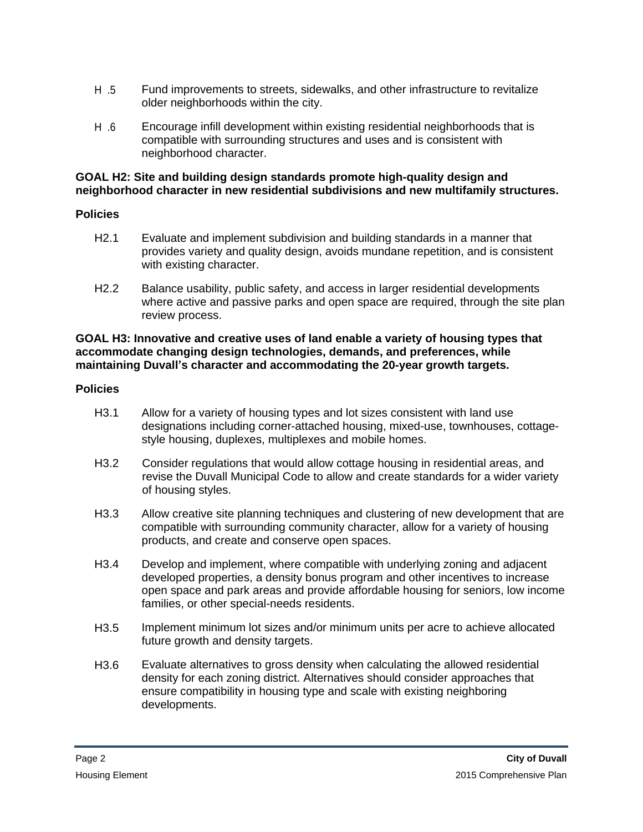- H .5 Fund improvements to streets, sidewalks, and other infrastructure to revitalize older neighborhoods within the city.
- H .6 Encourage infill development within existing residential neighborhoods that is compatible with surrounding structures and uses and is consistent with neighborhood character.

#### **GOAL H2: Site and building design standards promote high-quality design and neighborhood character in new residential subdivisions and new multifamily structures.**

#### **Policies**

- H2.1 Evaluate and implement subdivision and building standards in a manner that provides variety and quality design, avoids mundane repetition, and is consistent with existing character.
- H2.2 Balance usability, public safety, and access in larger residential developments where active and passive parks and open space are required, through the site plan review process.

#### **GOAL H3: Innovative and creative uses of land enable a variety of housing types that accommodate changing design technologies, demands, and preferences, while maintaining Duvall's character and accommodating the 20-year growth targets.**

- H3.1 Allow for a variety of housing types and lot sizes consistent with land use designations including corner-attached housing, mixed-use, townhouses, cottagestyle housing, duplexes, multiplexes and mobile homes.
- H3.2 Consider regulations that would allow cottage housing in residential areas, and revise the Duvall Municipal Code to allow and create standards for a wider variety of housing styles.
- H3.3 Allow creative site planning techniques and clustering of new development that are compatible with surrounding community character, allow for a variety of housing products, and create and conserve open spaces.
- H3.4 Develop and implement, where compatible with underlying zoning and adjacent developed properties, a density bonus program and other incentives to increase open space and park areas and provide affordable housing for seniors, low income families, or other special-needs residents.
- H3.5 Implement minimum lot sizes and/or minimum units per acre to achieve allocated future growth and density targets.
- H3.6 Evaluate alternatives to gross density when calculating the allowed residential density for each zoning district. Alternatives should consider approaches that ensure compatibility in housing type and scale with existing neighboring developments.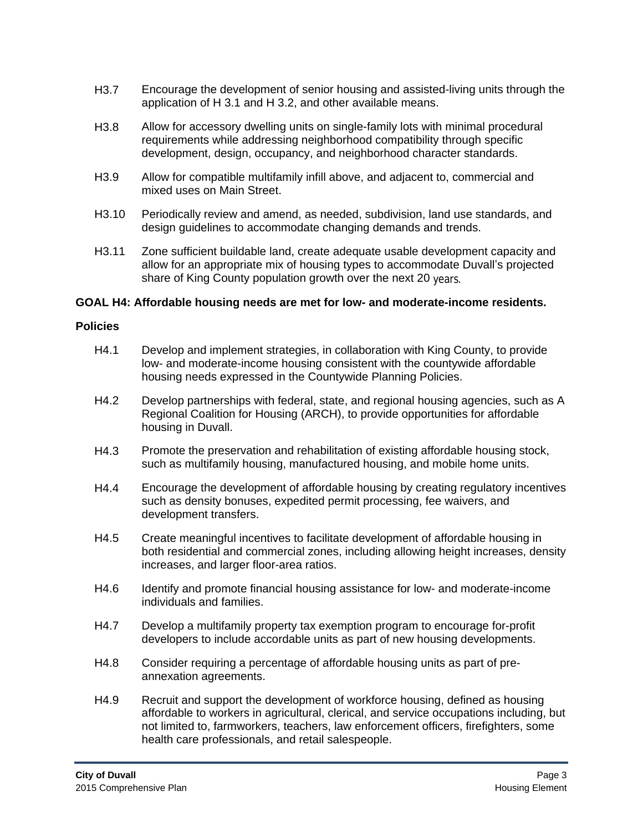- H3.7 Encourage the development of senior housing and assisted-living units through the application of H 3.1 and H 3.2, and other available means.
- H3.8 Allow for accessory dwelling units on single-family lots with minimal procedural requirements while addressing neighborhood compatibility through specific development, design, occupancy, and neighborhood character standards.
- H3.9 Allow for compatible multifamily infill above, and adjacent to, commercial and mixed uses on Main Street.
- H3.10 Periodically review and amend, as needed, subdivision, land use standards, and design guidelines to accommodate changing demands and trends.
- H3.11 Zone sufficient buildable land, create adequate usable development capacity and allow for an appropriate mix of housing types to accommodate Duvall's projected share of King County population growth over the next 20 years.

#### **GOAL H4: Affordable housing needs are met for low- and moderate-income residents.**

- H4.1 Develop and implement strategies, in collaboration with King County, to provide low- and moderate-income housing consistent with the countywide affordable housing needs expressed in the Countywide Planning Policies.
- H4.2 Develop partnerships with federal, state, and regional housing agencies, such as A Regional Coalition for Housing (ARCH), to provide opportunities for affordable housing in Duvall.
- H4.3 Promote the preservation and rehabilitation of existing affordable housing stock, such as multifamily housing, manufactured housing, and mobile home units.
- H4.4 Encourage the development of affordable housing by creating regulatory incentives such as density bonuses, expedited permit processing, fee waivers, and development transfers.
- H4.5 Create meaningful incentives to facilitate development of affordable housing in both residential and commercial zones, including allowing height increases, density increases, and larger floor-area ratios.
- H4.6 Identify and promote financial housing assistance for low- and moderate-income individuals and families.
- H4.7 Develop a multifamily property tax exemption program to encourage for-profit developers to include accordable units as part of new housing developments.
- H4.8 Consider requiring a percentage of affordable housing units as part of preannexation agreements.
- H4.9 Recruit and support the development of workforce housing, defined as housing affordable to workers in agricultural, clerical, and service occupations including, but not limited to, farmworkers, teachers, law enforcement officers, firefighters, some health care professionals, and retail salespeople.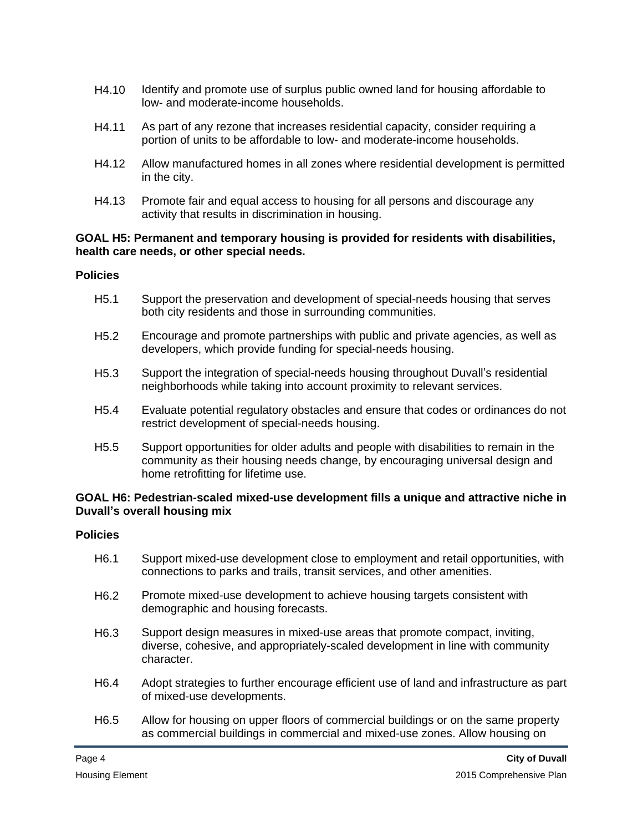- H4.10 Identify and promote use of surplus public owned land for housing affordable to low- and moderate-income households.
- H4.11 As part of any rezone that increases residential capacity, consider requiring a portion of units to be affordable to low- and moderate-income households.
- H4.12 Allow manufactured homes in all zones where residential development is permitted in the city.
- H4.13 Promote fair and equal access to housing for all persons and discourage any activity that results in discrimination in housing.

#### **GOAL H5: Permanent and temporary housing is provided for residents with disabilities, health care needs, or other special needs.**

#### **Policies**

- H5.1 Support the preservation and development of special-needs housing that serves both city residents and those in surrounding communities.
- H5.2 Encourage and promote partnerships with public and private agencies, as well as developers, which provide funding for special-needs housing.
- H5.3 Support the integration of special-needs housing throughout Duvall's residential neighborhoods while taking into account proximity to relevant services.
- H5.4 Evaluate potential regulatory obstacles and ensure that codes or ordinances do not restrict development of special-needs housing.
- H5.5 Support opportunities for older adults and people with disabilities to remain in the community as their housing needs change, by encouraging universal design and home retrofitting for lifetime use.

#### **GOAL H6: Pedestrian-scaled mixed-use development fills a unique and attractive niche in Duvall's overall housing mix**

- H6.1 Support mixed-use development close to employment and retail opportunities, with connections to parks and trails, transit services, and other amenities.
- H6.2 Promote mixed-use development to achieve housing targets consistent with demographic and housing forecasts.
- H6.3 Support design measures in mixed-use areas that promote compact, inviting, diverse, cohesive, and appropriately-scaled development in line with community character.
- H6.4 Adopt strategies to further encourage efficient use of land and infrastructure as part of mixed-use developments.
- H6.5 Allow for housing on upper floors of commercial buildings or on the same property as commercial buildings in commercial and mixed-use zones. Allow housing on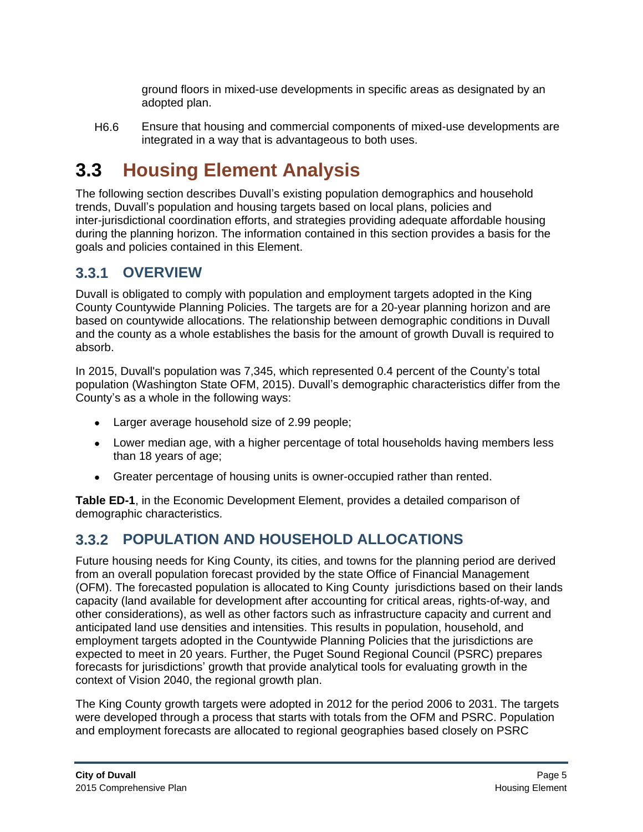ground floors in mixed-use developments in specific areas as designated by an adopted plan.

H6.6 Ensure that housing and commercial components of mixed-use developments are integrated in a way that is advantageous to both uses.

# **3.3 Housing Element Analysis**

The following section describes Duvall's existing population demographics and household trends, Duvall's population and housing targets based on local plans, policies and inter-jurisdictional coordination efforts, and strategies providing adequate affordable housing during the planning horizon. The information contained in this section provides a basis for the goals and policies contained in this Element.

## **3.3.1 OVERVIEW**

Duvall is obligated to comply with population and employment targets adopted in the King County Countywide Planning Policies. The targets are for a 20-year planning horizon and are based on countywide allocations. The relationship between demographic conditions in Duvall and the county as a whole establishes the basis for the amount of growth Duvall is required to absorb.

In 2015, Duvall's population was 7,345, which represented 0.4 percent of the County's total population (Washington State OFM, 2015). Duvall's demographic characteristics differ from the County's as a whole in the following ways:

- Larger average household size of 2.99 people;
- Lower median age, with a higher percentage of total households having members less than 18 years of age;
- Greater percentage of housing units is owner-occupied rather than rented.

**Table ED-1**, in the Economic Development Element, provides a detailed comparison of demographic characteristics.

## **3.3.2 POPULATION AND HOUSEHOLD ALLOCATIONS**

Future housing needs for King County, its cities, and towns for the planning period are derived from an overall population forecast provided by the state Office of Financial Management (OFM). The forecasted population is allocated to King County jurisdictions based on their lands capacity (land available for development after accounting for critical areas, rights-of-way, and other considerations), as well as other factors such as infrastructure capacity and current and anticipated land use densities and intensities. This results in population, household, and employment targets adopted in the Countywide Planning Policies that the jurisdictions are expected to meet in 20 years. Further, the Puget Sound Regional Council (PSRC) prepares forecasts for jurisdictions' growth that provide analytical tools for evaluating growth in the context of Vision 2040, the regional growth plan.

The King County growth targets were adopted in 2012 for the period 2006 to 2031. The targets were developed through a process that starts with totals from the OFM and PSRC. Population and employment forecasts are allocated to regional geographies based closely on PSRC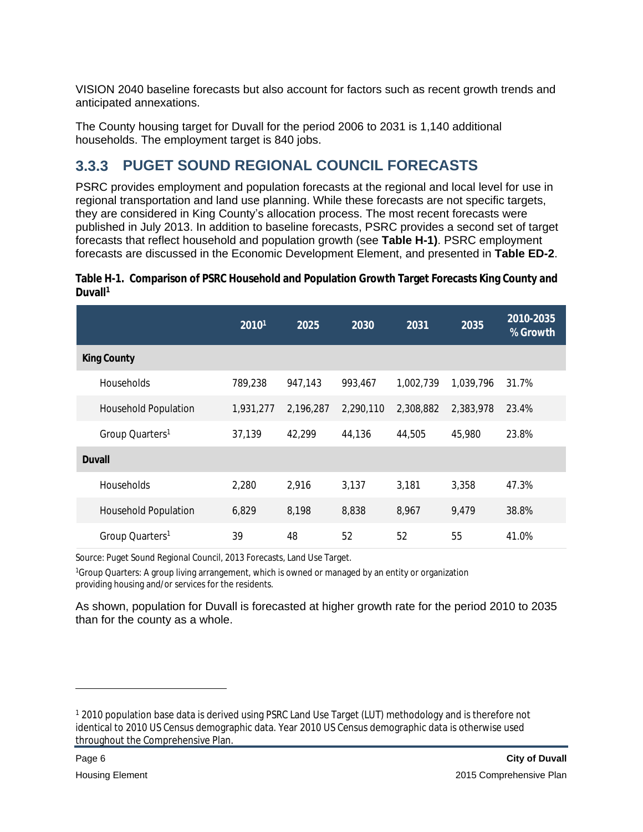VISION 2040 baseline forecasts but also account for factors such as recent growth trends and anticipated annexations.

The County housing target for Duvall for the period 2006 to 2031 is 1,140 additional households. The employment target is 840 jobs.

## **3.3.3 PUGET SOUND REGIONAL COUNCIL FORECASTS**

PSRC provides employment and population forecasts at the regional and local level for use in regional transportation and land use planning. While these forecasts are not specific targets, they are considered in King County's allocation process. The most recent forecasts were published in July 2013. In addition to baseline forecasts, PSRC provides a second set of target forecasts that reflect household and population growth (see **Table H-1)**. PSRC employment forecasts are discussed in the Economic Development Element, and presented in **Table ED-2**.

|                             | 20101     | 2025      | 2030      | 2031      | 2035      | 2010-2035<br>% Growth |
|-----------------------------|-----------|-----------|-----------|-----------|-----------|-----------------------|
| <b>King County</b>          |           |           |           |           |           |                       |
| <b>Households</b>           | 789,238   | 947,143   | 993,467   | 1,002,739 | 1,039,796 | 31.7%                 |
| <b>Household Population</b> | 1,931,277 | 2,196,287 | 2,290,110 | 2,308,882 | 2,383,978 | 23.4%                 |
| Group Quarters <sup>1</sup> | 37,139    | 42,299    | 44,136    | 44,505    | 45,980    | 23.8%                 |
| <b>Duvall</b>               |           |           |           |           |           |                       |
| Households                  | 2,280     | 2,916     | 3,137     | 3,181     | 3,358     | 47.3%                 |
| <b>Household Population</b> | 6,829     | 8,198     | 8,838     | 8,967     | 9,479     | 38.8%                 |
| Group Quarters <sup>1</sup> | 39        | 48        | 52        | 52        | 55        | 41.0%                 |

|                     | Table H-1. Comparison of PSRC Household and Population Growth Target Forecasts King County and |  |
|---------------------|------------------------------------------------------------------------------------------------|--|
| Duvall <sup>1</sup> |                                                                                                |  |

Source: Puget Sound Regional Council, 2013 Forecasts, Land Use Target.

<sup>1</sup>Group Quarters: A group living arrangement, which is owned or managed by an entity or organization providing housing and/or services for the residents.

As shown, population for Duvall is forecasted at higher growth rate for the period 2010 to 2035 than for the county as a whole.

<sup>&</sup>lt;sup>1</sup> 2010 population base data is derived using PSRC Land Use Target (LUT) methodology and is therefore not identical to 2010 US Census demographic data. Year 2010 US Census demographic data is otherwise used throughout the Comprehensive Plan.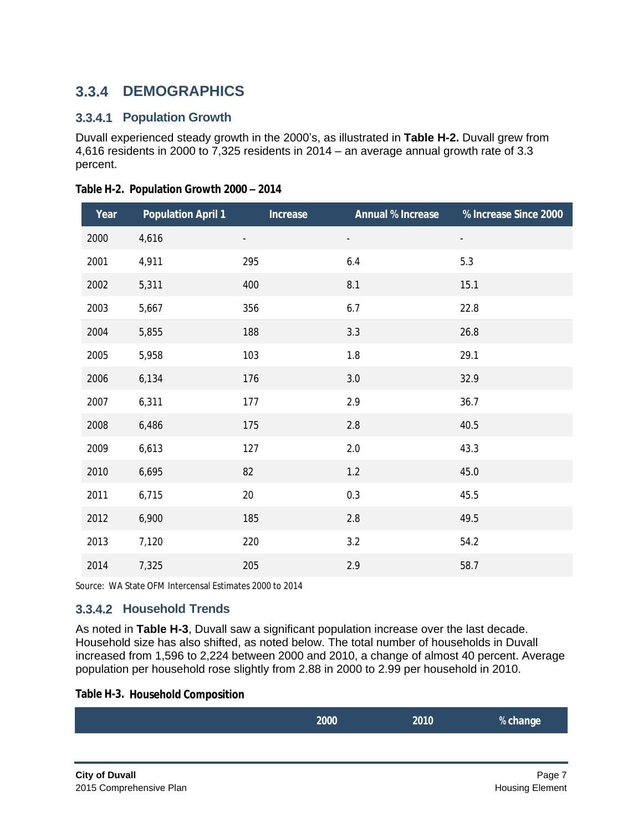## **3.3.4 DEMOGRAPHICS**

### **3.3.4.1 Population Growth**

Duvall experienced steady growth in the 2000's, as illustrated in **Table H-2.** Duvall grew from 4,616 residents in 2000 to 7,325 residents in 2014 – an average annual growth rate of 3.3 percent.

| Year | <b>Population April 1</b> | <b>Increase</b>          | <b>Annual % Increase</b> | % Increase Since 2000    |
|------|---------------------------|--------------------------|--------------------------|--------------------------|
| 2000 | 4,616                     | $\overline{\phantom{a}}$ |                          | $\overline{\phantom{a}}$ |
| 2001 | 4,911                     | 295                      | 6.4                      | 5.3                      |
| 2002 | 5,311                     | 400                      | 8.1                      | 15.1                     |
| 2003 | 5,667                     | 356                      | 6.7                      | 22.8                     |
| 2004 | 5,855                     | 188                      | 3.3                      | 26.8                     |
| 2005 | 5,958                     | 103                      | 1.8                      | 29.1                     |
| 2006 | 6,134                     | 176                      | $3.0\,$                  | 32.9                     |
| 2007 | 6,311                     | 177                      | 2.9                      | 36.7                     |
| 2008 | 6,486                     | 175                      | 2.8                      | 40.5                     |
| 2009 | 6,613                     | 127                      | 2.0                      | 43.3                     |
| 2010 | 6,695                     | 82                       | 1.2                      | 45.0                     |
| 2011 | 6,715                     | 20                       | 0.3                      | 45.5                     |
| 2012 | 6,900                     | 185                      | 2.8                      | 49.5                     |
| 2013 | 7,120                     | 220                      | 3.2                      | 54.2                     |
| 2014 | 7,325                     | 205                      | 2.9                      | 58.7                     |

**Table H-2. Population Growth 2000 – 2014**

Source: WA State OFM Intercensal Estimates 2000 to 2014

## **3.3.4.2 Household Trends**

As noted in **Table H-3**, Duvall saw a significant population increase over the last decade. Household size has also shifted, as noted below. The total number of households in Duvall increased from 1,596 to 2,224 between 2000 and 2010, a change of almost 40 percent. Average population per household rose slightly from 2.88 in 2000 to 2.99 per household in 2010.

#### **Table H-3. Household Composition**

| 2000 | 2010 | % change |
|------|------|----------|
|      |      |          |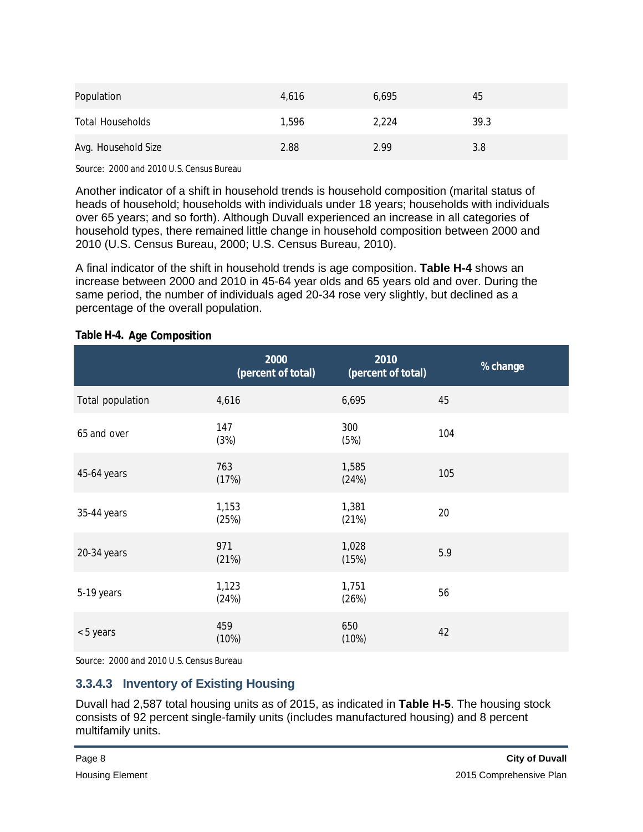| Population              | 4,616 | 6,695 | 45   |
|-------------------------|-------|-------|------|
| <b>Total Households</b> | 1.596 | 2,224 | 39.3 |
| Avg. Household Size     | 2.88  | 2.99  | 3.8  |

Source: 2000 and 2010 U.S. Census Bureau

Another indicator of a shift in household trends is household composition (marital status of heads of household; households with individuals under 18 years; households with individuals over 65 years; and so forth). Although Duvall experienced an increase in all categories of household types, there remained little change in household composition between 2000 and 2010 (U.S. Census Bureau, 2000; U.S. Census Bureau, 2010).

A final indicator of the shift in household trends is age composition. **Table H-4** shows an increase between 2000 and 2010 in 45-64 year olds and 65 years old and over. During the same period, the number of individuals aged 20-34 rose very slightly, but declined as a percentage of the overall population.

|                  | 2000<br>(percent of total) | 2010<br>(percent of total) | % change |
|------------------|----------------------------|----------------------------|----------|
| Total population | 4,616                      | 6,695                      | 45       |
| 65 and over      | 147<br>(3%)                | 300<br>(5%)                | 104      |
| 45-64 years      | 763<br>(17%)               | 1,585<br>(24%)             | 105      |
| 35-44 years      | 1,153<br>(25%)             | 1,381<br>(21%)             | 20       |
| 20-34 years      | 971<br>(21%)               | 1,028<br>(15%)             | 5.9      |
| 5-19 years       | 1,123<br>(24%)             | 1,751<br>(26%)             | 56       |
| < 5 years        | 459<br>(10%)               | 650<br>(10%)               | 42       |

#### **Table H-4. Age Composition**

Source: 2000 and 2010 U.S. Census Bureau

## **3.3.4.3 Inventory of Existing Housing**

Duvall had 2,587 total housing units as of 2015, as indicated in **Table H-5**. The housing stock consists of 92 percent single-family units (includes manufactured housing) and 8 percent multifamily units.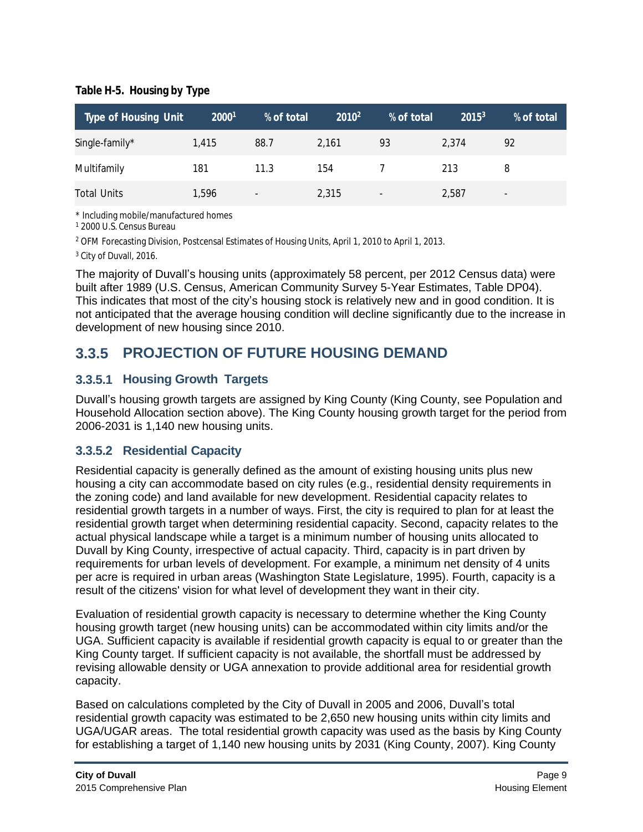### **Table H-5. Housing by Type**

| <b>Type of Housing Unit</b> | 20001 | % of total               | $2010^2$ | % of total               | $2015^3$ | % of total               |
|-----------------------------|-------|--------------------------|----------|--------------------------|----------|--------------------------|
| Single-family*              | 1.415 | 88.7                     | 2.161    | 93                       | 2.374    | 92                       |
| Multifamily                 | 181   | 11.3                     | 154      |                          | 213      | 8                        |
| <b>Total Units</b>          | 1,596 | $\overline{\phantom{a}}$ | 2,315    | $\overline{\phantom{a}}$ | 2,587    | $\overline{\phantom{a}}$ |

\* Including mobile/manufactured homes

1 2000 U.S. Census Bureau

2 OFM Forecasting Division, Postcensal Estimates of Housing Units, April 1, 2010 to April 1, 2013.

<sup>3</sup> City of Duvall, 2016.

The majority of Duvall's housing units (approximately 58 percent, per 2012 Census data) were built after 1989 (U.S. Census, American Community Survey 5-Year Estimates, Table DP04). This indicates that most of the city's housing stock is relatively new and in good condition. It is not anticipated that the average housing condition will decline significantly due to the increase in development of new housing since 2010.

## **3.3.5 PROJECTION OF FUTURE HOUSING DEMAND**

## **3.3.5.1 Housing Growth Targets**

Duvall's housing growth targets are assigned by King County (King County, see Population and Household Allocation section above). The King County housing growth target for the period from 2006-2031 is 1,140 new housing units.

## **3.3.5.2 Residential Capacity**

Residential capacity is generally defined as the amount of existing housing units plus new housing a city can accommodate based on city rules (e.g., residential density requirements in the zoning code) and land available for new development. Residential capacity relates to residential growth targets in a number of ways. First, the city is required to plan for at least the residential growth target when determining residential capacity. Second, capacity relates to the actual physical landscape while a target is a minimum number of housing units allocated to Duvall by King County, irrespective of actual capacity. Third, capacity is in part driven by requirements for urban levels of development. For example, a minimum net density of 4 units per acre is required in urban areas (Washington State Legislature, 1995). Fourth, capacity is a result of the citizens' vision for what level of development they want in their city.

Evaluation of residential growth capacity is necessary to determine whether the King County housing growth target (new housing units) can be accommodated within city limits and/or the UGA. Sufficient capacity is available if residential growth capacity is equal to or greater than the King County target. If sufficient capacity is not available, the shortfall must be addressed by revising allowable density or UGA annexation to provide additional area for residential growth capacity.

Based on calculations completed by the City of Duvall in 2005 and 2006, Duvall's total residential growth capacity was estimated to be 2,650 new housing units within city limits and UGA/UGAR areas. The total residential growth capacity was used as the basis by King County for establishing a target of 1,140 new housing units by 2031 (King County, 2007). King County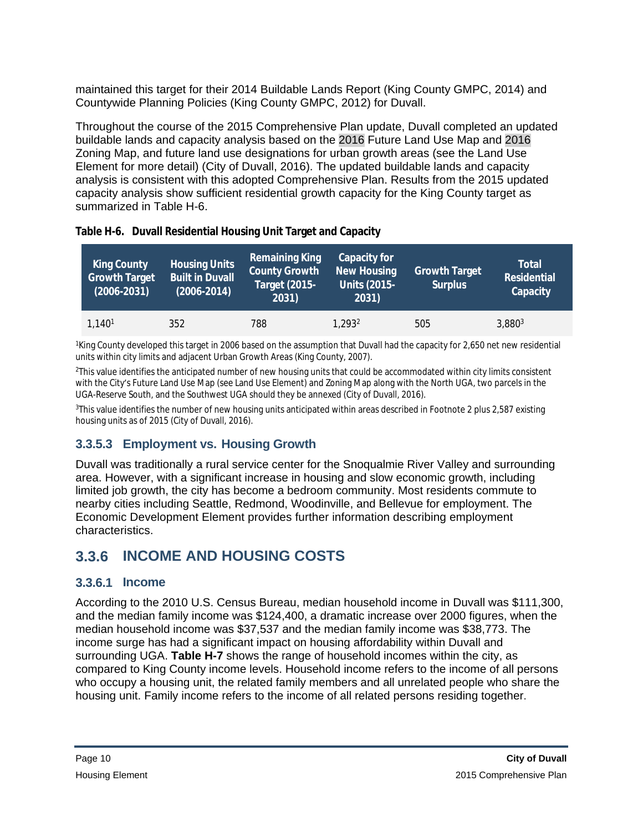maintained this target for their 2014 Buildable Lands Report (King County GMPC, 2014) and Countywide Planning Policies (King County GMPC, 2012) for Duvall.

Throughout the course of the 2015 Comprehensive Plan update, Duvall completed an updated buildable lands and capacity analysis based on the 2016 Future Land Use Map and 2016 Zoning Map, and future land use designations for urban growth areas (see the Land Use Element for more detail) (City of Duvall, 2016). The updated buildable lands and capacity analysis is consistent with this adopted Comprehensive Plan. Results from the 2015 updated capacity analysis show sufficient residential growth capacity for the King County target as summarized in Table H-6.

| <b>King County</b><br><b>Growth Target</b><br>$(2006 - 2031)$ | <b>Housing Units</b><br><b>Built in Duvall</b><br>$(2006 - 2014)$ | <b>Remaining King</b><br><b>County Growth</b><br><b>Target (2015-</b><br>2031) | <b>Capacity for</b><br><b>New Housing</b><br>Units (2015-1<br>2031) | <b>Growth Target</b><br><b>Surplus</b> | <b>Total</b><br><b>Residential</b><br>Capacity |
|---------------------------------------------------------------|-------------------------------------------------------------------|--------------------------------------------------------------------------------|---------------------------------------------------------------------|----------------------------------------|------------------------------------------------|
| 1,140 <sup>1</sup>                                            | 352                                                               | 788                                                                            | 1.293 <sup>2</sup>                                                  | 505                                    | $3,880^{3}$                                    |

|  | Table H-6. Duvall Residential Housing Unit Target and Capacity |  |  |  |
|--|----------------------------------------------------------------|--|--|--|
|--|----------------------------------------------------------------|--|--|--|

<sup>1</sup>King County developed this target in 2006 based on the assumption that Duvall had the capacity for 2,650 net new residential units within city limits and adjacent Urban Growth Areas (King County, 2007).

<sup>2</sup>This value identifies the anticipated number of new housing units that could be accommodated within city limits consistent with the City's Future Land Use Map (see Land Use Element) and Zoning Map along with the North UGA, two parcels in the UGA-Reserve South, and the Southwest UGA should they be annexed (City of Duvall, 2016).

<sup>3</sup>This value identifies the number of new housing units anticipated within areas described in Footnote 2 plus 2,587 existing housing units as of 2015 (City of Duvall, 2016).

## **3.3.5.3 Employment vs. Housing Growth**

Duvall was traditionally a rural service center for the Snoqualmie River Valley and surrounding area. However, with a significant increase in housing and slow economic growth, including limited job growth, the city has become a bedroom community. Most residents commute to nearby cities including Seattle, Redmond, Woodinville, and Bellevue for employment. The Economic Development Element provides further information describing employment characteristics.

## **3.3.6 INCOME AND HOUSING COSTS**

## **3.3.6.1 Income**

According to the 2010 U.S. Census Bureau, median household income in Duvall was \$111,300, and the median family income was \$124,400, a dramatic increase over 2000 figures, when the median household income was \$37,537 and the median family income was \$38,773. The income surge has had a significant impact on housing affordability within Duvall and surrounding UGA. **Table H-7** shows the range of household incomes within the city, as compared to King County income levels. Household income refers to the income of all persons who occupy a housing unit, the related family members and all unrelated people who share the housing unit. Family income refers to the income of all related persons residing together.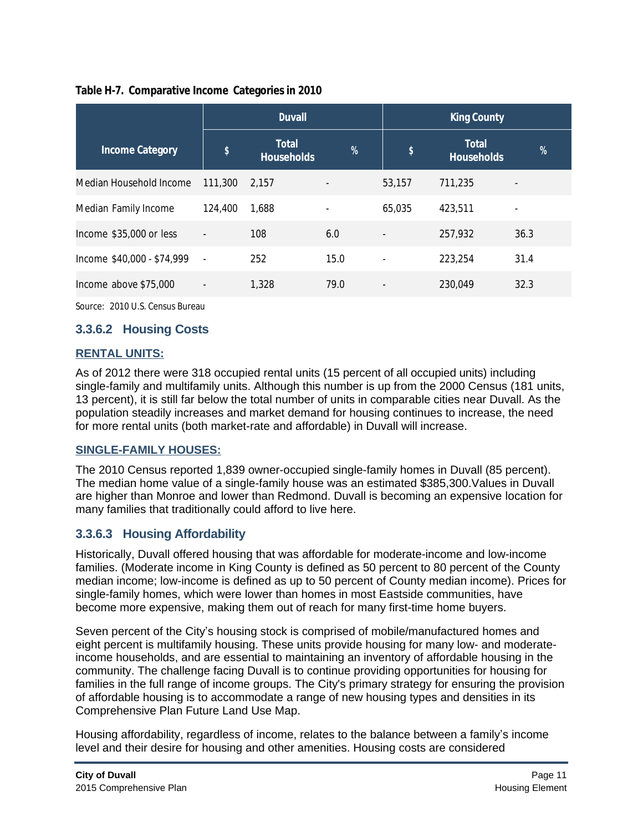| Table H-7. Comparative Income Categories in 2010 |  |
|--------------------------------------------------|--|
|                                                  |  |

|                            |                          | <b>Duvall</b>                     |      | <b>King County</b>        |                                   |      |
|----------------------------|--------------------------|-----------------------------------|------|---------------------------|-----------------------------------|------|
| <b>Income Category</b>     | \$                       | <b>Total</b><br><b>Households</b> | $\%$ | $\boldsymbol{\mathsf{s}}$ | <b>Total</b><br><b>Households</b> | %    |
| Median Household Income    | 111,300                  | 2.157                             |      | 53,157                    | 711,235                           |      |
| Median Family Income       | 124,400                  | 1,688                             |      | 65,035                    | 423,511                           |      |
| Income \$35,000 or less    | $\centerdot$             | 108                               | 6.0  | $\overline{\phantom{a}}$  | 257,932                           | 36.3 |
| Income \$40,000 - \$74,999 | $\overline{\phantom{a}}$ | 252                               | 15.0 | $\overline{\phantom{m}}$  | 223,254                           | 31.4 |
| Income above \$75,000      |                          | 1,328                             | 79.0 | $\overline{\phantom{a}}$  | 230,049                           | 32.3 |

Source: 2010 U.S. Census Bureau

## **3.3.6.2 Housing Costs**

### **RENTAL UNITS:**

As of 2012 there were 318 occupied rental units (15 percent of all occupied units) including single-family and multifamily units. Although this number is up from the 2000 Census (181 units, 13 percent), it is still far below the total number of units in comparable cities near Duvall. As the population steadily increases and market demand for housing continues to increase, the need for more rental units (both market-rate and affordable) in Duvall will increase.

#### **SINGLE-FAMILY HOUSES:**

The 2010 Census reported 1,839 owner-occupied single-family homes in Duvall (85 percent). The median home value of a single-family house was an estimated \$385,300.Values in Duvall are higher than Monroe and lower than Redmond. Duvall is becoming an expensive location for many families that traditionally could afford to live here.

## **3.3.6.3 Housing Affordability**

Historically, Duvall offered housing that was affordable for moderate-income and low-income families. (Moderate income in King County is defined as 50 percent to 80 percent of the County median income; low-income is defined as up to 50 percent of County median income). Prices for single-family homes, which were lower than homes in most Eastside communities, have become more expensive, making them out of reach for many first-time home buyers.

Seven percent of the City's housing stock is comprised of mobile/manufactured homes and eight percent is multifamily housing. These units provide housing for many low- and moderateincome households, and are essential to maintaining an inventory of affordable housing in the community. The challenge facing Duvall is to continue providing opportunities for housing for families in the full range of income groups. The City's primary strategy for ensuring the provision of affordable housing is to accommodate a range of new housing types and densities in its Comprehensive Plan Future Land Use Map.

Housing affordability, regardless of income, relates to the balance between a family's income level and their desire for housing and other amenities. Housing costs are considered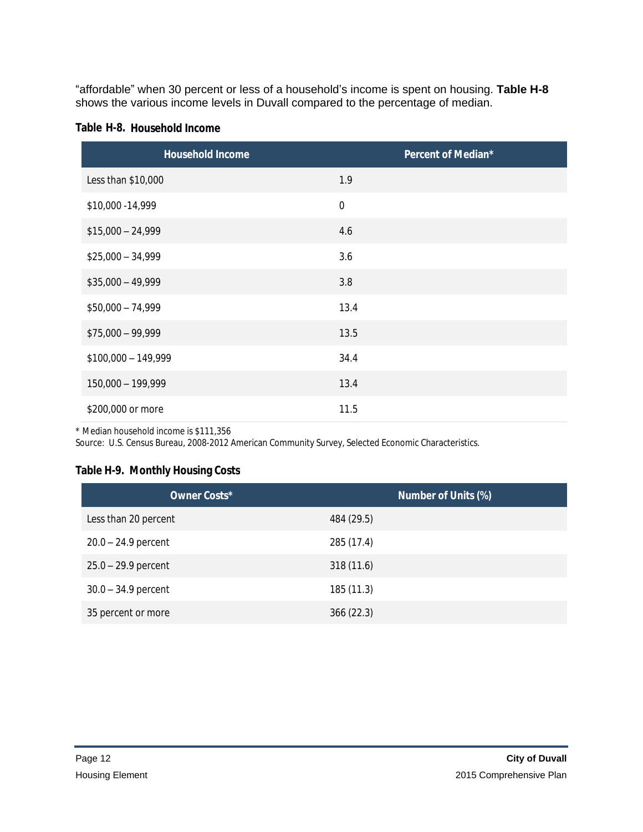"affordable" when 30 percent or less of a household's income is spent on housing. **Table H-8** shows the various income levels in Duvall compared to the percentage of median.

|  | Table H-8. Household Income |  |
|--|-----------------------------|--|
|--|-----------------------------|--|

| <b>Household Income</b> | Percent of Median* |
|-------------------------|--------------------|
| Less than \$10,000      | 1.9                |
| \$10,000 - 14,999       | $\mathbf 0$        |
| $$15,000 - 24,999$      | 4.6                |
| $$25,000 - 34,999$      | 3.6                |
| $$35,000 - 49,999$      | 3.8                |
| $$50,000 - 74,999$      | 13.4               |
| $$75,000 - 99,999$      | 13.5               |
| $$100,000 - 149,999$    | 34.4               |
| 150,000 - 199,999       | 13.4               |
| \$200,000 or more       | 11.5               |

\* Median household income is \$111,356

Source: U.S. Census Bureau, 2008-2012 American Community Survey, Selected Economic Characteristics.

### **Table H-9. Monthly Housing Costs**

| Owner Costs*          | <b>Number of Units (%)</b> |
|-----------------------|----------------------------|
| Less than 20 percent  | 484 (29.5)                 |
| $20.0 - 24.9$ percent | 285 (17.4)                 |
| $25.0 - 29.9$ percent | 318 (11.6)                 |
| $30.0 - 34.9$ percent | 185 (11.3)                 |
| 35 percent or more    | 366(22.3)                  |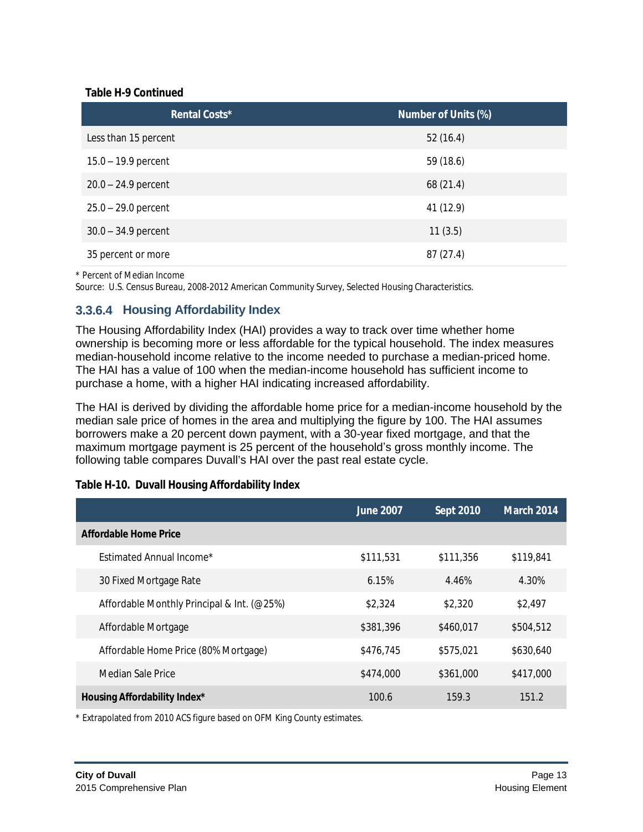#### **Table H-9 Continued**

| Rental Costs*         | <b>Number of Units (%)</b> |
|-----------------------|----------------------------|
| Less than 15 percent  | 52(16.4)                   |
| $15.0 - 19.9$ percent | 59 (18.6)                  |
| $20.0 - 24.9$ percent | 68 (21.4)                  |
| $25.0 - 29.0$ percent | 41 (12.9)                  |
| $30.0 - 34.9$ percent | 11(3.5)                    |
| 35 percent or more    | 87(27.4)                   |

\* Percent of Median Income

Source: U.S. Census Bureau, 2008-2012 American Community Survey, Selected Housing Characteristics.

## **3.3.6.4 Housing Affordability Index**

The Housing Affordability Index (HAI) provides a way to track over time whether home ownership is becoming more or less affordable for the typical household. The index measures median-household income relative to the income needed to purchase a median-priced home. The HAI has a value of 100 when the median-income household has sufficient income to purchase a home, with a higher HAI indicating increased affordability.

The HAI is derived by dividing the affordable home price for a median-income household by the median sale price of homes in the area and multiplying the figure by 100. The HAI assumes borrowers make a 20 percent down payment, with a 30-year fixed mortgage, and that the maximum mortgage payment is 25 percent of the household's gross monthly income. The following table compares Duvall's HAI over the past real estate cycle.

|                                            | <b>June 2007</b> | <b>Sept 2010</b> | <b>March 2014</b> |  |
|--------------------------------------------|------------------|------------------|-------------------|--|
| <b>Affordable Home Price</b>               |                  |                  |                   |  |
| Estimated Annual Income*                   | \$111,531        | \$111,356        | \$119,841         |  |
| 30 Fixed Mortgage Rate                     | 6.15%            | 4.46%            | 4.30%             |  |
| Affordable Monthly Principal & Int. (@25%) | \$2,324          | \$2,320          | \$2,497           |  |
| Affordable Mortgage                        | \$381,396        | \$460,017        | \$504,512         |  |
| Affordable Home Price (80% Mortgage)       | \$476.745        | \$575,021        | \$630,640         |  |
| Median Sale Price                          | \$474,000        | \$361,000        | \$417,000         |  |
| Housing Affordability Index*               | 100.6            | 159.3            | 151.2             |  |

#### **Table H-10. Duvall Housing Affordability Index**

\* Extrapolated from 2010 ACS figure based on OFM King County estimates.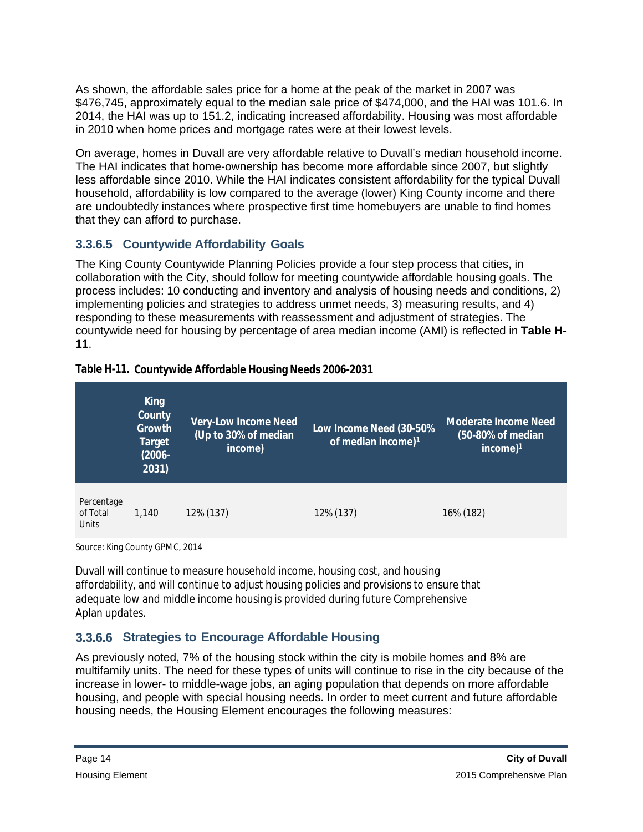As shown, the affordable sales price for a home at the peak of the market in 2007 was \$476,745, approximately equal to the median sale price of \$474,000, and the HAI was 101.6. In 2014, the HAI was up to 151.2, indicating increased affordability. Housing was most affordable in 2010 when home prices and mortgage rates were at their lowest levels.

On average, homes in Duvall are very affordable relative to Duvall's median household income. The HAI indicates that home-ownership has become more affordable since 2007, but slightly less affordable since 2010. While the HAI indicates consistent affordability for the typical Duvall household, affordability is low compared to the average (lower) King County income and there are undoubtedly instances where prospective first time homebuyers are unable to find homes that they can afford to purchase.

## **3.3.6.5 Countywide Affordability Goals**

The King County Countywide Planning Policies provide a four step process that cities, in collaboration with the City, should follow for meeting countywide affordable housing goals. The process includes: 10 conducting and inventory and analysis of housing needs and conditions, 2) implementing policies and strategies to address unmet needs, 3) measuring results, and 4) responding to these measurements with reassessment and adjustment of strategies. The countywide need for housing by percentage of area median income (AMI) is reflected in **Table H-11**.

#### **Table H-11. Countywide Affordable Housing Needs 2006-2031**

|                                 | <b>King</b><br>County<br>Growth<br><b>Target</b><br>$(2006 -$<br>2031) | <b>Very-Low Income Need</b><br>$\sqrt{(Up to 30\% \text{ of median})}$<br>income) | Low Income Need (30-50%<br>of median income) $1$ | <b>Moderate Income Need</b><br>(50-80% of median<br>income) $1$ |
|---------------------------------|------------------------------------------------------------------------|-----------------------------------------------------------------------------------|--------------------------------------------------|-----------------------------------------------------------------|
| Percentage<br>of Total<br>Units | 1.140                                                                  | 12% (137)                                                                         | 12% (137)                                        | 16% (182)                                                       |

Source: King County GPMC, 2014

Duvall will continue to measure household income, housing cost, and housing affordability, and will continue to adjust housing policies and provisions to ensure that adequate low and middle income housing is provided during future Comprehensive Aplan updates.

## **3.3.6.6 Strategies to Encourage Affordable Housing**

As previously noted, 7% of the housing stock within the city is mobile homes and 8% are multifamily units. The need for these types of units will continue to rise in the city because of the increase in lower- to middle-wage jobs, an aging population that depends on more affordable housing, and people with special housing needs. In order to meet current and future affordable housing needs, the Housing Element encourages the following measures: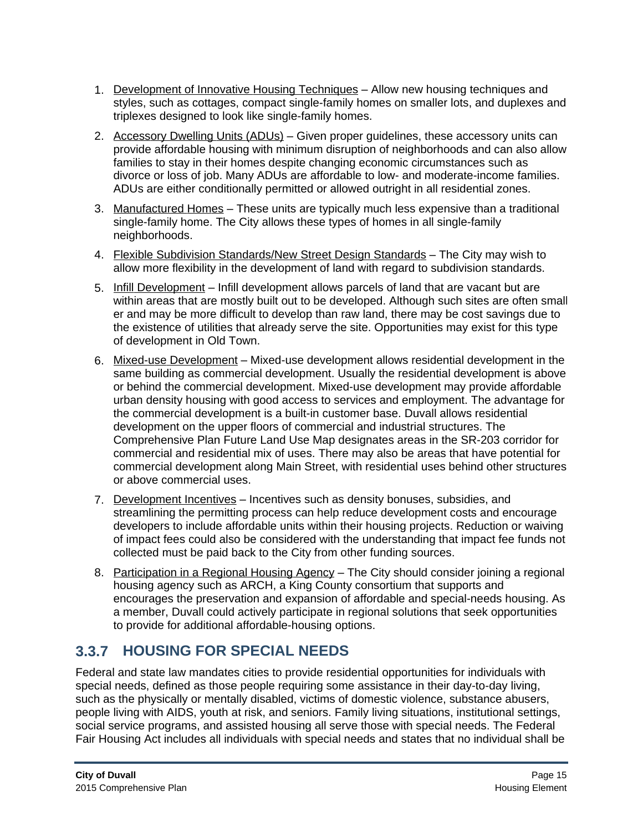- 1. Development of Innovative Housing Techniques Allow new housing techniques and styles, such as cottages, compact single-family homes on smaller lots, and duplexes and triplexes designed to look like single-family homes.
- 2. Accessory Dwelling Units (ADUs) Given proper guidelines, these accessory units can provide affordable housing with minimum disruption of neighborhoods and can also allow families to stay in their homes despite changing economic circumstances such as divorce or loss of job. Many ADUs are affordable to low- and moderate-income families. ADUs are either conditionally permitted or allowed outright in all residential zones.
- 3. Manufactured Homes These units are typically much less expensive than a traditional single-family home. The City allows these types of homes in all single-family neighborhoods.
- 4. Flexible Subdivision Standards/New Street Design Standards The City may wish to allow more flexibility in the development of land with regard to subdivision standards.
- 5. Infill Development Infill development allows parcels of land that are vacant but are within areas that are mostly built out to be developed. Although such sites are often small er and may be more difficult to develop than raw land, there may be cost savings due to the existence of utilities that already serve the site. Opportunities may exist for this type of development in Old Town.
- 6. Mixed-use Development Mixed-use development allows residential development in the same building as commercial development. Usually the residential development is above or behind the commercial development. Mixed-use development may provide affordable urban density housing with good access to services and employment. The advantage for the commercial development is a built-in customer base. Duvall allows residential development on the upper floors of commercial and industrial structures. The Comprehensive Plan Future Land Use Map designates areas in the SR-203 corridor for commercial and residential mix of uses. There may also be areas that have potential for commercial development along Main Street, with residential uses behind other structures or above commercial uses.
- 7. Development Incentives Incentives such as density bonuses, subsidies, and streamlining the permitting process can help reduce development costs and encourage developers to include affordable units within their housing projects. Reduction or waiving of impact fees could also be considered with the understanding that impact fee funds not collected must be paid back to the City from other funding sources.
- 8. Participation in a Regional Housing Agency The City should consider joining a regional housing agency such as ARCH, a King County consortium that supports and encourages the preservation and expansion of affordable and special-needs housing. As a member, Duvall could actively participate in regional solutions that seek opportunities to provide for additional affordable-housing options.

## **3.3.7 HOUSING FOR SPECIAL NEEDS**

Federal and state law mandates cities to provide residential opportunities for individuals with special needs, defined as those people requiring some assistance in their day-to-day living, such as the physically or mentally disabled, victims of domestic violence, substance abusers, people living with AIDS, youth at risk, and seniors. Family living situations, institutional settings, social service programs, and assisted housing all serve those with special needs. The Federal Fair Housing Act includes all individuals with special needs and states that no individual shall be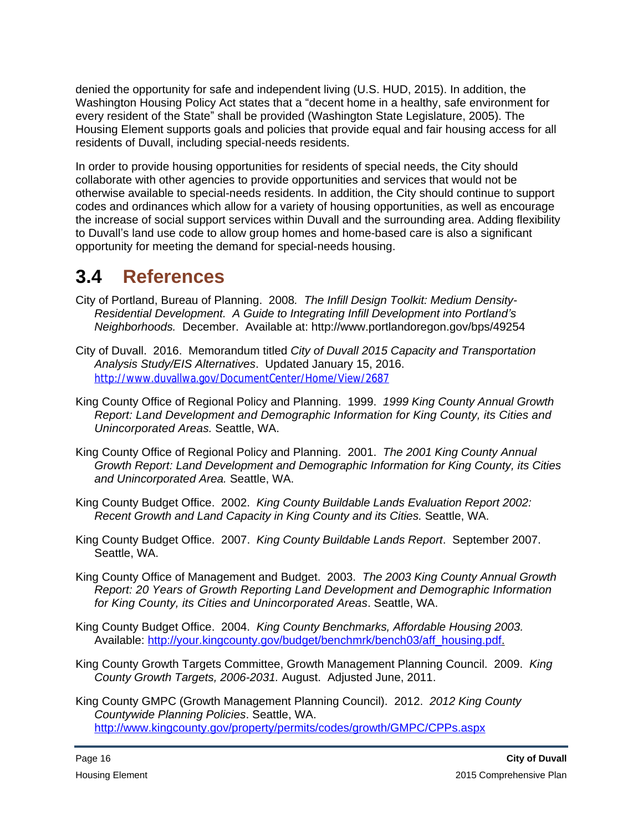denied the opportunity for safe and independent living (U.S. HUD, 2015). In addition, the Washington Housing Policy Act states that a "decent home in a healthy, safe environment for every resident of the State" shall be provided (Washington State Legislature, 2005). The Housing Element supports goals and policies that provide equal and fair housing access for all residents of Duvall, including special-needs residents.

In order to provide housing opportunities for residents of special needs, the City should collaborate with other agencies to provide opportunities and services that would not be otherwise available to special-needs residents. In addition, the City should continue to support codes and ordinances which allow for a variety of housing opportunities, as well as encourage the increase of social support services within Duvall and the surrounding area. Adding flexibility to Duvall's land use code to allow group homes and home-based care is also a significant opportunity for meeting the demand for special-needs housing.

# **3.4 References**

- City of Portland, Bureau of Planning. 2008*. The Infill Design Toolkit: Medium Density-Residential Development. A Guide to Integrating Infill Development into Portland's Neighborhoods.* December. Available at: <http://www.portlandoregon.gov/bps/49254>
- City of Duvall. 2016. Memorandum titled *City of Duvall 2015 Capacity and Transportation Analysis Study/EIS Alternatives*. Updated January 15, 2016. <http://www.duvallwa.gov/DocumentCenter/Home/View/2687>
- King County Office of Regional Policy and Planning. 1999. *1999 King County Annual Growth Report: Land Development and Demographic Information for King County, its Cities and Unincorporated Areas.* Seattle, WA.
- King County Office of Regional Policy and Planning. 2001. *The 2001 King County Annual Growth Report: Land Development and Demographic Information for King County, its Cities and Unincorporated Area.* Seattle, WA.
- King County Budget Office. 2002. *King County Buildable Lands Evaluation Report 2002: Recent Growth and Land Capacity in King County and its Cities.* Seattle, WA.
- King County Budget Office. 2007. *King County Buildable Lands Report*. September 2007. Seattle, WA.
- King County Office of Management and Budget. 2003. *The 2003 King County Annual Growth Report: 20 Years of Growth Reporting Land Development and Demographic Information for King County, its Cities and Unincorporated Areas*. Seattle, WA.
- King County Budget Office. 2004. *King County Benchmarks, Affordable Housing 2003.* Available: [http://your.kingcounty.gov/budget/benchmrk/bench03/aff\\_housing.pdf.](http://your.kingcounty.gov/budget/benchmrk/bench03/aff_housing.pdf)
- King County Growth Targets Committee, Growth Management Planning Council. 2009. *King County Growth Targets, 2006-2031.* August. Adjusted June, 2011.
- King County GMPC (Growth Management Planning Council). 2012. *2012 King County Countywide Planning Policies*. Seattle, WA. <http://www.kingcounty.gov/property/permits/codes/growth/GMPC/CPPs.aspx>